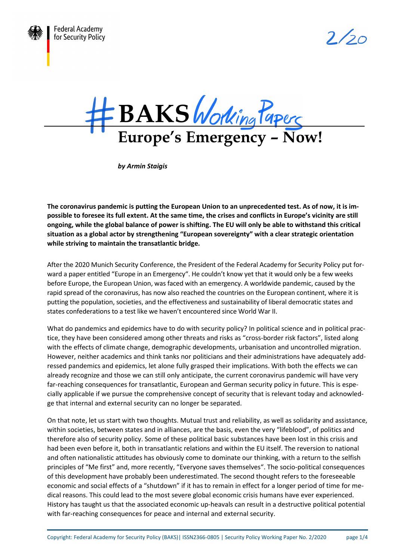

 $2/20$ 



*by Armin Staigis* 

**The coronavirus pandemic is putting the European Union to an unprecedented test. As of now, it is impossible to foresee its full extent. At the same time, the crises and conflicts in Europe's vicinity are still ongoing, while the global balance of power is shifting. The EU will only be able to withstand this critical situation as a global actor by strengthening "European sovereignty" with a clear strategic orientation while striving to maintain the transatlantic bridge.** 

After the 2020 Munich Security Conference, the President of the Federal Academy for Security Policy put forward a paper entitled "Europe in an Emergency". He couldn't know yet that it would only be a few weeks before Europe, the European Union, was faced with an emergency. A worldwide pandemic, caused by the rapid spread of the coronavirus, has now also reached the countries on the European continent, where it is putting the population, societies, and the effectiveness and sustainability of liberal democratic states and states confederations to a test like we haven't encountered since World War II.

What do pandemics and epidemics have to do with security policy? In political science and in political practice, they have been considered among other threats and risks as "cross-border risk factors", listed along with the effects of climate change, demographic developments, urbanisation and uncontrolled migration. However, neither academics and think tanks nor politicians and their administrations have adequately addressed pandemics and epidemics, let alone fully grasped their implications. With both the effects we can already recognize and those we can still only anticipate, the current coronavirus pandemic will have very far-reaching consequences for transatlantic, European and German security policy in future. This is especially applicable if we pursue the comprehensive concept of security that is relevant today and acknowledge that internal and external security can no longer be separated.

On that note, let us start with two thoughts. Mutual trust and reliability, as well as solidarity and assistance, within societies, between states and in alliances, are the basis, even the very "lifeblood", of politics and therefore also of security policy. Some of these political basic substances have been lost in this crisis and had been even before it, both in transatlantic relations and within the EU itself. The reversion to national and often nationalistic attitudes has obviously come to dominate our thinking, with a return to the selfish principles of "Me first" and, more recently, "Everyone saves themselves". The socio-political consequences of this development have probably been underestimated. The second thought refers to the foreseeable economic and social effects of a "shutdown" if it has to remain in effect for a longer period of time for medical reasons. This could lead to the most severe global economic crisis humans have ever experienced. History has taught us that the associated economic up-heavals can result in a destructive political potential with far-reaching consequences for peace and internal and external security.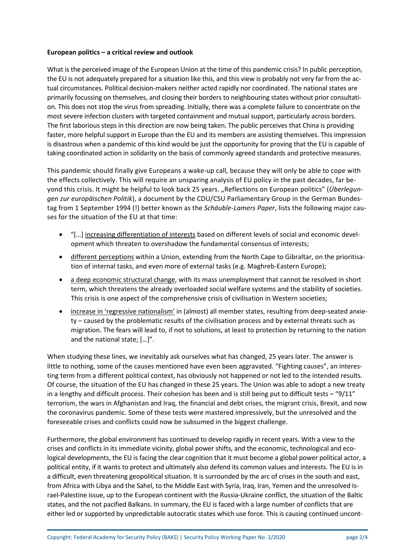## **European politics – a critical review and outlook**

What is the perceived image of the European Union at the time of this pandemic crisis? In public perception, the EU is not adequately prepared for a situation like this, and this view is probably not very far from the actual circumstances. Political decision-makers neither acted rapidly nor coordinated. The national states are primarily focussing on themselves, and closing their borders to neighbouring states without prior consultation. This does not stop the virus from spreading. Initially, there was a complete failure to concentrate on the most severe infection clusters with targeted containment and mutual support, particularly across borders. The first laborious steps in this direction are now being taken. The public perceives that China is providing faster, more helpful support in Europe than the EU and its members are assisting themselves. This impression is disastrous when a pandemic of this kind would be just the opportunity for proving that the EU is capable of taking coordinated action in solidarity on the basis of commonly agreed standards and protective measures.

This pandemic should finally give Europeans a wake-up call, because they will only be able to cope with the effects collectively. This will require an unsparing analysis of EU policy in the past decades, far beyond this crisis. It might be helpful to look back 25 years. "Reflections on European politics" (*Überlegungen zur europäischen Politik*), a document by the CDU/CSU Parliamentary Group in the German Bundestag from 1 September 1994 (!) better known as the *Schäuble-Lamers Paper*, lists the following major causes for the situation of the EU at that time:

- "[…] increasing differentiation of interests based on different levels of social and economic development which threaten to overshadow the fundamental consensus of interests;
- **•** different perceptions within a Union, extending from the North Cape to Gibraltar, on the prioritisation of internal tasks, and even more of external tasks (e.g. Maghreb-Eastern Europe);
- a deep economic structural change, with its mass unemployment that cannot be resolved in short term, which threatens the already overloaded social welfare systems and the stability of societies. This crisis is one aspect of the comprehensive crisis of civilisation in Western societies;
- increase in 'regressive nationalism' in (almost) all member states, resulting from deep-seated anxiety – caused by the problematic results of the civilisation process and by external threats such as migration. The fears will lead to, if not to solutions, at least to protection by returning to the nation and the national state; […]".

When studying these lines, we inevitably ask ourselves what has changed, 25 years later. The answer is little to nothing, some of the causes mentioned have even been aggravated. "Fighting causes", an interesting term from a different political context, has obviously not happened or not led to the intended results. Of course, the situation of the EU has changed in these 25 years. The Union was able to adopt a new treaty in a lengthy and difficult process. Their cohesion has been and is still being put to difficult tests  $-$  "9/11" terrorism, the wars in Afghanistan and Iraq, the financial and debt crises, the migrant crisis, Brexit, and now the coronavirus pandemic. Some of these tests were mastered impressively, but the unresolved and the foreseeable crises and conflicts could now be subsumed in the biggest challenge.

Furthermore, the global environment has continued to develop rapidly in recent years. With a view to the crises and conflicts in its immediate vicinity, global power shifts, and the economic, technological and ecological developments, the EU is facing the clear cognition that it must become a global power political actor, a political entity, if it wants to protect and ultimately also defend its common values and interests. The EU is in a difficult, even threatening geopolitical situation. It is surrounded by the arc of crises in the south and east, from Africa with Libya and the Sahel, to the Middle East with Syria, Iraq, Iran, Yemen and the unresolved Israel-Palestine issue, up to the European continent with the Russia-Ukraine conflict, the situation of the Baltic states, and the not pacified Balkans. In summary, the EU is faced with a large number of conflicts that are either led or supported by unpredictable autocratic states which use force. This is causing continued uncont-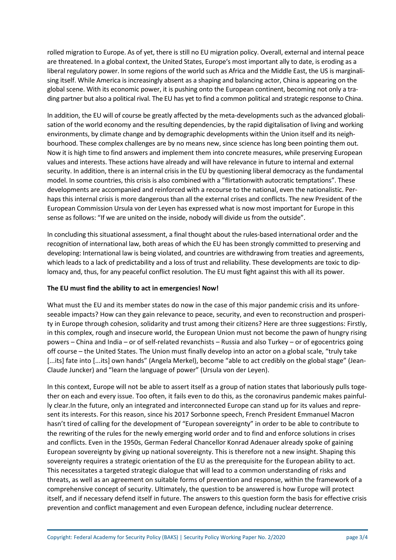rolled migration to Europe. As of yet, there is still no EU migration policy. Overall, external and internal peace are threatened. In a global context, the United States, Europe's most important ally to date, is eroding as a liberal regulatory power. In some regions of the world such as Africa and the Middle East, the US is marginalising itself. While America is increasingly absent as a shaping and balancing actor, China is appearing on the global scene. With its economic power, it is pushing onto the European continent, becoming not only a trading partner but also a political rival. The EU has yet to find a common political and strategic response to China.

In addition, the EU will of course be greatly affected by the meta-developments such as the advanced globalisation of the world economy and the resulting dependencies, by the rapid digitalisation of living and working environments, by climate change and by demographic developments within the Union itself and its neighbourhood. These complex challenges are by no means new, since science has long been pointing them out. Now it is high time to find answers and implement them into concrete measures, while preserving European values and interests. These actions have already and will have relevance in future to internal and external security. In addition, there is an internal crisis in the EU by questioning liberal democracy as the fundamental model. In some countries, this crisis is also combined with a "flirtationwith autocratic temptations". These developments are accompanied and reinforced with a recourse to the national, even the nationalistic. Perhaps this internal crisis is more dangerous than all the external crises and conflicts. The new President of the European Commission Ursula von der Leyen has expressed what is now most important for Europe in this sense as follows: "If we are united on the inside, nobody will divide us from the outside".

In concluding this situational assessment, a final thought about the rules-based international order and the recognition of international law, both areas of which the EU has been strongly committed to preserving and developing: International law is being violated, and countries are withdrawing from treaties and agreements, which leads to a lack of predictability and a loss of trust and reliability. These developments are toxic to diplomacy and, thus, for any peaceful conflict resolution. The EU must fight against this with all its power.

## **The EU must find the ability to act in emergencies! Now!**

What must the EU and its member states do now in the case of this major pandemic crisis and its unforeseeable impacts? How can they gain relevance to peace, security, and even to reconstruction and prosperity in Europe through cohesion, solidarity and trust among their citizens? Here are three suggestions: Firstly, in this complex, rough and insecure world, the European Union must not become the pawn of hungry rising powers – China and India – or of self-related revanchists – Russia and also Turkey – or of egocentrics going off course – the United States. The Union must finally develop into an actor on a global scale, "truly take [...its] fate into [...its] own hands" (Angela Merkel), become "able to act credibly on the global stage" (Jean-Claude Juncker) and "learn the language of power" (Ursula von der Leyen).

In this context, Europe will not be able to assert itself as a group of nation states that laboriously pulls together on each and every issue. Too often, it fails even to do this, as the coronavirus pandemic makes painfully clear.In the future, only an integrated and interconnected Europe can stand up for its values and represent its interests. For this reason, since his 2017 Sorbonne speech, French President Emmanuel Macron hasn't tired of calling for the development of "European sovereignty" in order to be able to contribute to the rewriting of the rules for the newly emerging world order and to find and enforce solutions in crises and conflicts. Even in the 1950s, German Federal Chancellor Konrad Adenauer already spoke of gaining European sovereignty by giving up national sovereignty. This is therefore not a new insight. Shaping this sovereignty requires a strategic orientation of the EU as the prerequisite for the European ability to act. This necessitates a targeted strategic dialogue that will lead to a common understanding of risks and threats, as well as an agreement on suitable forms of prevention and response, within the framework of a comprehensive concept of security. Ultimately, the question to be answered is how Europe will protect itself, and if necessary defend itself in future. The answers to this question form the basis for effective crisis prevention and conflict management and even European defence, including nuclear deterrence.